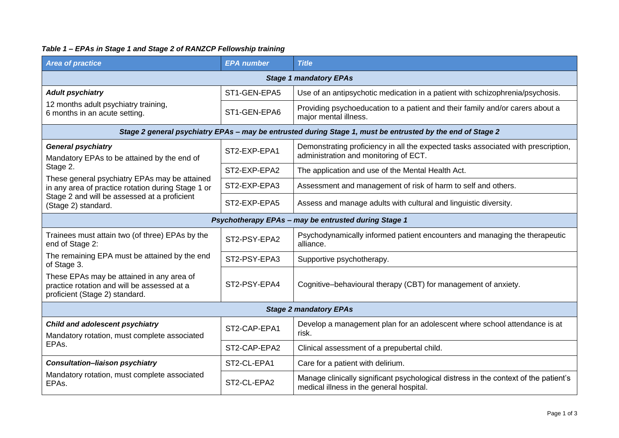## *Table 1 – EPAs in Stage 1 and Stage 2 of RANZCP Fellowship training*

| <b>Area of practice</b>                                                                                                                                                                                                                                            | <b>EPA</b> number | <b>Title</b>                                                                                                                     |  |  |
|--------------------------------------------------------------------------------------------------------------------------------------------------------------------------------------------------------------------------------------------------------------------|-------------------|----------------------------------------------------------------------------------------------------------------------------------|--|--|
| <b>Stage 1 mandatory EPAs</b>                                                                                                                                                                                                                                      |                   |                                                                                                                                  |  |  |
| <b>Adult psychiatry</b>                                                                                                                                                                                                                                            | ST1-GEN-EPA5      | Use of an antipsychotic medication in a patient with schizophrenia/psychosis.                                                    |  |  |
| 12 months adult psychiatry training,<br>6 months in an acute setting.                                                                                                                                                                                              | ST1-GEN-EPA6      | Providing psychoeducation to a patient and their family and/or carers about a<br>major mental illness.                           |  |  |
| Stage 2 general psychiatry EPAs - may be entrusted during Stage 1, must be entrusted by the end of Stage 2                                                                                                                                                         |                   |                                                                                                                                  |  |  |
| <b>General psychiatry</b><br>Mandatory EPAs to be attained by the end of<br>Stage 2.<br>These general psychiatry EPAs may be attained<br>in any area of practice rotation during Stage 1 or<br>Stage 2 and will be assessed at a proficient<br>(Stage 2) standard. | ST2-EXP-EPA1      | Demonstrating proficiency in all the expected tasks associated with prescription,<br>administration and monitoring of ECT.       |  |  |
|                                                                                                                                                                                                                                                                    | ST2-EXP-EPA2      | The application and use of the Mental Health Act.                                                                                |  |  |
|                                                                                                                                                                                                                                                                    | ST2-EXP-EPA3      | Assessment and management of risk of harm to self and others.                                                                    |  |  |
|                                                                                                                                                                                                                                                                    | ST2-EXP-EPA5      | Assess and manage adults with cultural and linguistic diversity.                                                                 |  |  |
| Psychotherapy EPAs - may be entrusted during Stage 1                                                                                                                                                                                                               |                   |                                                                                                                                  |  |  |
| Trainees must attain two (of three) EPAs by the<br>end of Stage 2:                                                                                                                                                                                                 | ST2-PSY-EPA2      | Psychodynamically informed patient encounters and managing the therapeutic<br>alliance.                                          |  |  |
| The remaining EPA must be attained by the end<br>of Stage 3.                                                                                                                                                                                                       | ST2-PSY-EPA3      | Supportive psychotherapy.                                                                                                        |  |  |
| These EPAs may be attained in any area of<br>practice rotation and will be assessed at a<br>proficient (Stage 2) standard.                                                                                                                                         | ST2-PSY-EPA4      | Cognitive-behavioural therapy (CBT) for management of anxiety.                                                                   |  |  |
| <b>Stage 2 mandatory EPAs</b>                                                                                                                                                                                                                                      |                   |                                                                                                                                  |  |  |
| Child and adolescent psychiatry<br>Mandatory rotation, must complete associated<br>EPAs.                                                                                                                                                                           | ST2-CAP-EPA1      | Develop a management plan for an adolescent where school attendance is at<br>risk.                                               |  |  |
|                                                                                                                                                                                                                                                                    | ST2-CAP-EPA2      | Clinical assessment of a prepubertal child.                                                                                      |  |  |
| <b>Consultation-liaison psychiatry</b><br>Mandatory rotation, must complete associated<br>EPAs.                                                                                                                                                                    | ST2-CL-EPA1       | Care for a patient with delirium.                                                                                                |  |  |
|                                                                                                                                                                                                                                                                    | ST2-CL-EPA2       | Manage clinically significant psychological distress in the context of the patient's<br>medical illness in the general hospital. |  |  |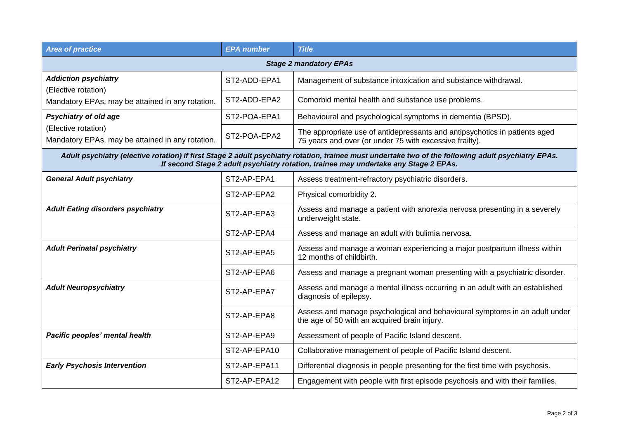| <b>Area of practice</b>                                                                                                                                                                                                                     | <b>EPA</b> number | <b>Title</b>                                                                                                                          |  |  |
|---------------------------------------------------------------------------------------------------------------------------------------------------------------------------------------------------------------------------------------------|-------------------|---------------------------------------------------------------------------------------------------------------------------------------|--|--|
| <b>Stage 2 mandatory EPAs</b>                                                                                                                                                                                                               |                   |                                                                                                                                       |  |  |
| <b>Addiction psychiatry</b>                                                                                                                                                                                                                 | ST2-ADD-EPA1      | Management of substance intoxication and substance withdrawal.                                                                        |  |  |
| (Elective rotation)<br>Mandatory EPAs, may be attained in any rotation.                                                                                                                                                                     | ST2-ADD-EPA2      | Comorbid mental health and substance use problems.                                                                                    |  |  |
| <b>Psychiatry of old age</b>                                                                                                                                                                                                                | ST2-POA-EPA1      | Behavioural and psychological symptoms in dementia (BPSD).                                                                            |  |  |
| (Elective rotation)<br>Mandatory EPAs, may be attained in any rotation.                                                                                                                                                                     | ST2-POA-EPA2      | The appropriate use of antidepressants and antipsychotics in patients aged<br>75 years and over (or under 75 with excessive frailty). |  |  |
| Adult psychiatry (elective rotation) if first Stage 2 adult psychiatry rotation, trainee must undertake two of the following adult psychiatry EPAs.<br>If second Stage 2 adult psychiatry rotation, trainee may undertake any Stage 2 EPAs. |                   |                                                                                                                                       |  |  |
| <b>General Adult psychiatry</b>                                                                                                                                                                                                             | ST2-AP-EPA1       | Assess treatment-refractory psychiatric disorders.                                                                                    |  |  |
|                                                                                                                                                                                                                                             | ST2-AP-EPA2       | Physical comorbidity 2.                                                                                                               |  |  |
| <b>Adult Eating disorders psychiatry</b>                                                                                                                                                                                                    | ST2-AP-EPA3       | Assess and manage a patient with anorexia nervosa presenting in a severely<br>underweight state.                                      |  |  |
|                                                                                                                                                                                                                                             | ST2-AP-EPA4       | Assess and manage an adult with bulimia nervosa.                                                                                      |  |  |
| <b>Adult Perinatal psychiatry</b>                                                                                                                                                                                                           | ST2-AP-EPA5       | Assess and manage a woman experiencing a major postpartum illness within<br>12 months of childbirth.                                  |  |  |
|                                                                                                                                                                                                                                             | ST2-AP-EPA6       | Assess and manage a pregnant woman presenting with a psychiatric disorder.                                                            |  |  |
| <b>Adult Neuropsychiatry</b>                                                                                                                                                                                                                | ST2-AP-EPA7       | Assess and manage a mental illness occurring in an adult with an established<br>diagnosis of epilepsy.                                |  |  |
|                                                                                                                                                                                                                                             | ST2-AP-EPA8       | Assess and manage psychological and behavioural symptoms in an adult under<br>the age of 50 with an acquired brain injury.            |  |  |
| Pacific peoples' mental health                                                                                                                                                                                                              | ST2-AP-EPA9       | Assessment of people of Pacific Island descent.                                                                                       |  |  |
|                                                                                                                                                                                                                                             | ST2-AP-EPA10      | Collaborative management of people of Pacific Island descent.                                                                         |  |  |
| <b>Early Psychosis Intervention</b>                                                                                                                                                                                                         | ST2-AP-EPA11      | Differential diagnosis in people presenting for the first time with psychosis.                                                        |  |  |
|                                                                                                                                                                                                                                             | ST2-AP-EPA12      | Engagement with people with first episode psychosis and with their families.                                                          |  |  |